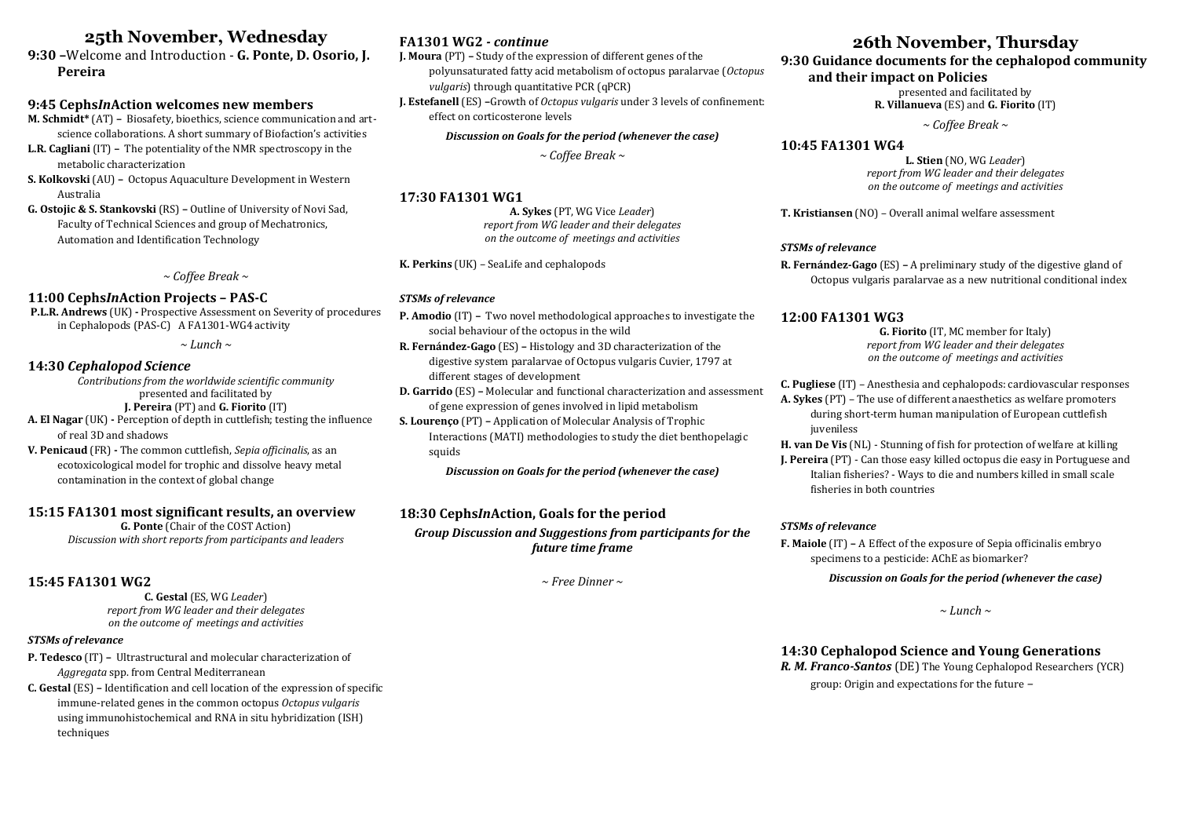# **25th November, Wednesday**

**9:30 –**Welcome and Introduction - **G. Ponte, D. Osorio, J. Pereira**

#### **9:45 Cephs***In***Action welcomes new members**

**M. Schmidt\*** (AT) **–** Biosafety, bioethics, science communication and artscience collaborations. A short summary of Biofaction's activities

- **L.R. Cagliani** (IT) **–** The potentiality of the NMR spectroscopy in the metabolic characterization
- **S. Kolkovski** (AU) **–** Octopus Aquaculture Development in Western Australia

**G. Ostojic & S. Stankovski** (RS) **–** Outline of University of Novi Sad, Faculty of Technical Sciences and group of Mechatronics, Automation and Identification Technology

*~ Coffee Break ~*

## **11:00 Cephs***In***Action Projects – PAS-C**

**P.L.R. Andrews** (UK) **-** Prospective Assessment on Severity of procedures in Cephalopods (PAS-C) A FA1301-WG4 activity

*~ Lunch ~*

# **14:30** *Cephalopod Science*

*Contributions from the worldwide scientific community* presented and facilitated by **J. Pereira** (PT) and **G. Fiorito** (IT) **A. El Nagar** (UK) **-** Perception of depth in cuttlefish; testing the influence

of real 3D and shadows

**V. Penicaud** (FR) **-** The common cuttlefish, *Sepia officinalis*, as an ecotoxicological model for trophic and dissolve heavy metal contamination in the context of global change

#### **15:15 FA1301 most significant results, an overview**

**G. Ponte** (Chair of the COST Action) *Discussion with short reports from participants and leaders*

## **15:45 FA1301 WG2**

**C. Gestal** (ES, WG *Leader*) *report from WG leader and their delegates on the outcome of meetings and activities*

#### *STSMs of relevance*

**P. Tedesco** (IT) **–** Ultrastructural and molecular characterization of *Aggregata* spp. from Central Mediterranean

**C. Gestal** (ES) **–** Identification and cell location of the expression of specific immune-related genes in the common octopus *Octopus vulgaris* using immunohistochemical and RNA in situ hybridization (ISH) techniques

# **FA1301 WG2** *- continue*

**J. Moura** (PT) **–** Study of the expression of different genes of the polyunsaturated fatty acid metabolism of octopus paralarvae (*Octopus vulgaris*) through quantitative PCR (qPCR)

**J. Estefanell** (ES) **–**Growth of *Octopus vulgaris* under 3 levels of confinement: effect on corticosterone levels

#### *Discussion on Goals for the period (whenever the case)*

*~ Coffee Break ~*

#### **17:30 FA1301 WG1**

**A. Sykes** (PT, WG Vice *Leader*) *report from WG leader and their delegates on the outcome of meetings and activities*

**K. Perkins** (UK) *–* SeaLife and cephalopods

#### *STSMs of relevance*

**P. Amodio** (IT) **–** Two novel methodological approaches to investigate the social behaviour of the octopus in the wild

**R. Fernández-Gago** (ES) **–** Histology and 3D characterization of the digestive system paralarvae of Octopus vulgaris Cuvier, 1797 at different stages of development

**D. Garrido** (ES) **–** Molecular and functional characterization and assessment of gene expression of genes involved in lipid metabolism

**S. Lourenço** (PT) **–** Application of Molecular Analysis of Trophic Interactions (MATI) methodologies to study the diet benthopelagic squids

*Discussion on Goals for the period (whenever the case)*

# **18:30 Cephs***In***Action, Goals for the period** *Group Discussion and Suggestions from participants for the future time frame*

*~ Free Dinner ~*

# **26th November, Thursday**

#### **9:30 Guidance documents for the cephalopod community and their impact on Policies**

presented and facilitated by

**R. Villanueva** (ES) and **G. Fiorito** (IT)

*~ Coffee Break ~*

#### **10:45 FA1301 WG4**

**L. Stien** (NO, WG *Leader*) *report from WG leader and their delegates on the outcome of meetings and activities*

**T. Kristiansen** (NO) *–* Overall animal welfare assessment

#### *STSMs of relevance*

**R. Fernández-Gago** (ES) **–** A preliminary study of the digestive gland of Octopus vulgaris paralarvae as a new nutritional conditional index

#### **12:00 FA1301 WG3**

**G. Fiorito** (IT, MC member for Italy) *report from WG leader and their delegates on the outcome of meetings and activities*

- **C. Pugliese** (IT) *–* Anesthesia and cephalopods: cardiovascular responses
- **A. Sykes** (PT) The use of different anaesthetics as welfare promoters during short-term human manipulation of European cuttlefish juveniless

**H. van De Vis** (NL) - Stunning of fish for protection of welfare at killing

**J. Pereira** (PT) - Can those easy killed octopus die easy in Portuguese and Italian fisheries? - Ways to die and numbers killed in small scale fisheries in both countries

#### *STSMs of relevance*

**F. Maiole** (IT) **–** A Effect of the exposure of Sepia officinalis embryo specimens to a pesticide: AChE as biomarker?

*Discussion on Goals for the period (whenever the case)*

*~ Lunch ~*

# **14:30 Cephalopod Science and Young Generations**

*R. M. Franco-Santos* (DE) The Young Cephalopod Researchers (YCR)

group: Origin and expectations for the future *–*